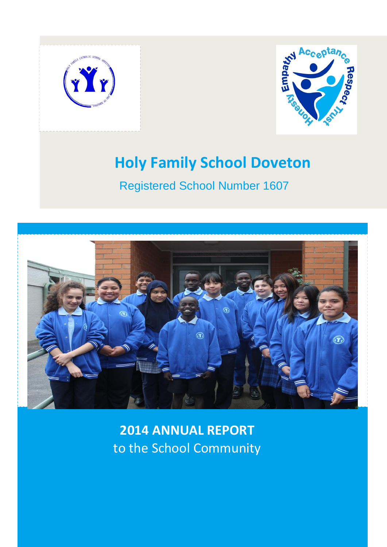



Registered School Number 1607



**2014 ANNUAL REPORT** to the School Community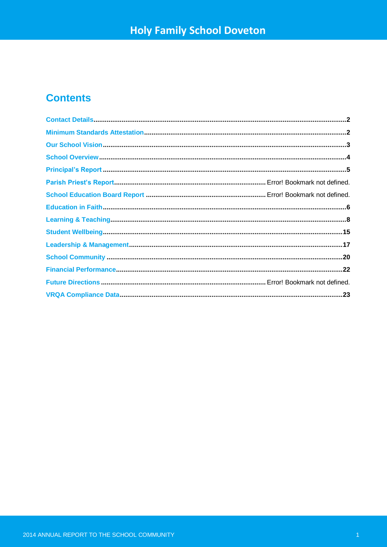## **Contents**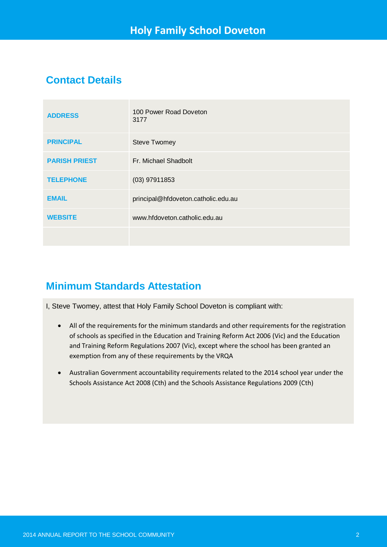## **Contact Details**

| <b>ADDRESS</b>       | 100 Power Road Doveton<br>3177      |
|----------------------|-------------------------------------|
| <b>PRINCIPAL</b>     | <b>Steve Twomey</b>                 |
| <b>PARISH PRIEST</b> | Fr. Michael Shadbolt                |
| <b>TELEPHONE</b>     | $(03)$ 97911853                     |
| <b>EMAIL</b>         | principal@hfdoveton.catholic.edu.au |
| <b>WEBSITE</b>       | www.hfdoveton.catholic.edu.au       |
|                      |                                     |

## **Minimum Standards Attestation**

I, Steve Twomey, attest that Holy Family School Doveton is compliant with:

- All of the requirements for the minimum standards and other requirements for the registration of schools as specified in the Education and Training Reform Act 2006 (Vic) and the Education and Training Reform Regulations 2007 (Vic), except where the school has been granted an exemption from any of these requirements by the VRQA
- Australian Government accountability requirements related to the 2014 school year under the Schools Assistance Act 2008 (Cth) and the Schools Assistance Regulations 2009 (Cth)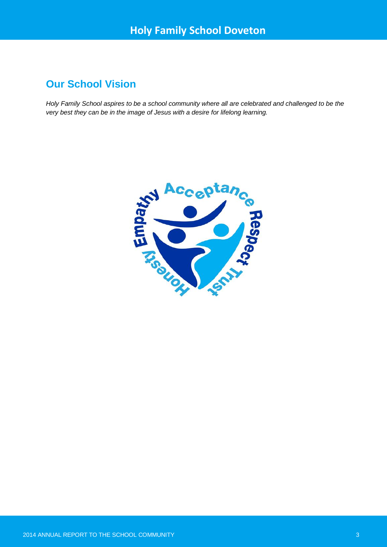## **Our School Vision**

*Holy Family School aspires to be a school community where all are celebrated and challenged to be the very best they can be in the image of Jesus with a desire for lifelong learning.*

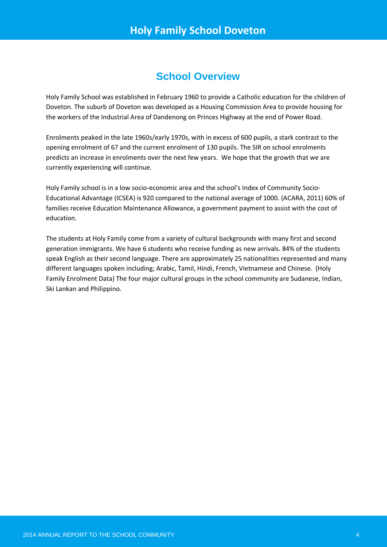## **School Overview**

Holy Family School was established in February 1960 to provide a Catholic education for the children of Doveton. The suburb of Doveton was developed as a Housing Commission Area to provide housing for the workers of the Industrial Area of Dandenong on Princes Highway at the end of Power Road.

Enrolments peaked in the late 1960s/early 1970s, with in excess of 600 pupils, a stark contrast to the opening enrolment of 67 and the current enrolment of 130 pupils. The SIR on school enrolments predicts an increase in enrolments over the next few years. We hope that the growth that we are currently experiencing will continue.

Holy Family school is in a low socio-economic area and the school's Index of Community Socio-Educational Advantage (ICSEA) is 920 compared to the national average of 1000. (ACARA, 2011) 60% of families receive Education Maintenance Allowance, a government payment to assist with the cost of education.

The students at Holy Family come from a variety of cultural backgrounds with many first and second generation immigrants. We have 6 students who receive funding as new arrivals. 84% of the students speak English as their second language. There are approximately 25 nationalities represented and many different languages spoken including; Arabic, Tamil, Hindi, French, Vietnamese and Chinese. (Holy Family Enrolment Data) The four major cultural groups in the school community are Sudanese, Indian, Ski Lankan and Philippino.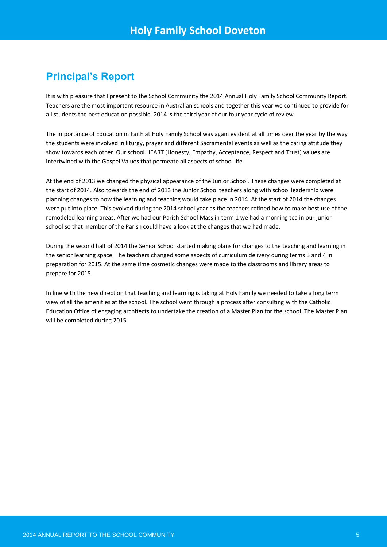## **Principal's Report**

It is with pleasure that I present to the School Community the 2014 Annual Holy Family School Community Report. Teachers are the most important resource in Australian schools and together this year we continued to provide for all students the best education possible. 2014 is the third year of our four year cycle of review.

The importance of Education in Faith at Holy Family School was again evident at all times over the year by the way the students were involved in liturgy, prayer and different Sacramental events as well as the caring attitude they show towards each other. Our school HEART (Honesty, Empathy, Acceptance, Respect and Trust) values are intertwined with the Gospel Values that permeate all aspects of school life.

At the end of 2013 we changed the physical appearance of the Junior School. These changes were completed at the start of 2014. Also towards the end of 2013 the Junior School teachers along with school leadership were planning changes to how the learning and teaching would take place in 2014. At the start of 2014 the changes were put into place. This evolved during the 2014 school year as the teachers refined how to make best use of the remodeled learning areas. After we had our Parish School Mass in term 1 we had a morning tea in our junior school so that member of the Parish could have a look at the changes that we had made.

During the second half of 2014 the Senior School started making plans for changes to the teaching and learning in the senior learning space. The teachers changed some aspects of curriculum delivery during terms 3 and 4 in preparation for 2015. At the same time cosmetic changes were made to the classrooms and library areas to prepare for 2015.

In line with the new direction that teaching and learning is taking at Holy Family we needed to take a long term view of all the amenities at the school. The school went through a process after consulting with the Catholic Education Office of engaging architects to undertake the creation of a Master Plan for the school. The Master Plan will be completed during 2015.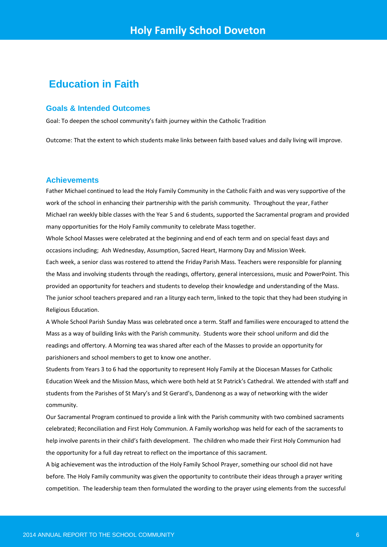## **Education in Faith**

### **Goals & Intended Outcomes**

Goal: To deepen the school community's faith journey within the Catholic Tradition

Outcome: That the extent to which students make links between faith based values and daily living will improve.

#### **Achievements**

Father Michael continued to lead the Holy Family Community in the Catholic Faith and was very supportive of the work of the school in enhancing their partnership with the parish community. Throughout the year, Father Michael ran weekly bible classes with the Year 5 and 6 students, supported the Sacramental program and provided many opportunities for the Holy Family community to celebrate Mass together.

Whole School Masses were celebrated at the beginning and end of each term and on special feast days and occasions including; Ash Wednesday, Assumption, Sacred Heart, Harmony Day and Mission Week. Each week, a senior class was rostered to attend the Friday Parish Mass. Teachers were responsible for planning the Mass and involving students through the readings, offertory, general intercessions, music and PowerPoint. This provided an opportunity for teachers and students to develop their knowledge and understanding of the Mass. The junior school teachers prepared and ran a liturgy each term, linked to the topic that they had been studying in Religious Education.

A Whole School Parish Sunday Mass was celebrated once a term. Staff and families were encouraged to attend the Mass as a way of building links with the Parish community. Students wore their school uniform and did the readings and offertory. A Morning tea was shared after each of the Masses to provide an opportunity for parishioners and school members to get to know one another.

Students from Years 3 to 6 had the opportunity to represent Holy Family at the Diocesan Masses for Catholic Education Week and the Mission Mass, which were both held at St Patrick's Cathedral. We attended with staff and students from the Parishes of St Mary's and St Gerard's, Dandenong as a way of networking with the wider community.

Our Sacramental Program continued to provide a link with the Parish community with two combined sacraments celebrated; Reconciliation and First Holy Communion. A Family workshop was held for each of the sacraments to help involve parents in their child's faith development. The children who made their First Holy Communion had the opportunity for a full day retreat to reflect on the importance of this sacrament.

A big achievement was the introduction of the Holy Family School Prayer, something our school did not have before. The Holy Family community was given the opportunity to contribute their ideas through a prayer writing competition. The leadership team then formulated the wording to the prayer using elements from the successful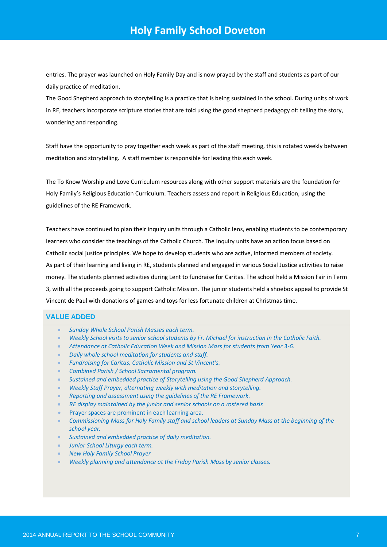entries. The prayer was launched on Holy Family Day and is now prayed by the staff and students as part of our daily practice of meditation.

The Good Shepherd approach to storytelling is a practice that is being sustained in the school. During units of work in RE, teachers incorporate scripture stories that are told using the good shepherd pedagogy of: telling the story, wondering and responding.

Staff have the opportunity to pray together each week as part of the staff meeting, this is rotated weekly between meditation and storytelling. A staff member is responsible for leading this each week.

The To Know Worship and Love Curriculum resources along with other support materials are the foundation for Holy Family's Religious Education Curriculum. Teachers assess and report in Religious Education, using the guidelines of the RE Framework.

Teachers have continued to plan their inquiry units through a Catholic lens, enabling students to be contemporary learners who consider the teachings of the Catholic Church. The Inquiry units have an action focus based on Catholic social justice principles. We hope to develop students who are active, informed members of society. As part of their learning and living in RE, students planned and engaged in various Social Justice activities to raise money. The students planned activities during Lent to fundraise for Caritas. The school held a Mission Fair in Term 3, with all the proceeds going to support Catholic Mission. The junior students held a shoebox appeal to provide St Vincent de Paul with donations of games and toys for less fortunate children at Christmas time.

#### **VALUE ADDED**

- *Sunday Whole School Parish Masses each term.*
- *Weekly School visits to senior school students by Fr. Michael for instruction in the Catholic Faith.*
- *Attendance at Catholic Education Week and Mission Mass for students from Year 3-6.*
- *Daily whole school meditation for students and staff.*
- *Fundraising for Caritas, Catholic Mission and St Vincent's.*
- *Combined Parish / School Sacramental program.*
- *Sustained and embedded practice of Storytelling using the Good Shepherd Approach.*
- *Weekly Staff Prayer, alternating weekly with meditation and storytelling.*
- *Reporting and assessment using the guidelines of the RE Framework.*
- *RE display maintained by the junior and senior schools on a rostered basis*
- **Prayer spaces are prominent in each learning area.**
- *Commissioning Mass for Holy Family staff and school leaders at Sunday Mass at the beginning of the school year.*
- *Sustained and embedded practice of daily meditation.*
- *Junior School Liturgy each term.*
- *New Holy Family School Prayer*
- *Weekly planning and attendance at the Friday Parish Mass by senior classes.*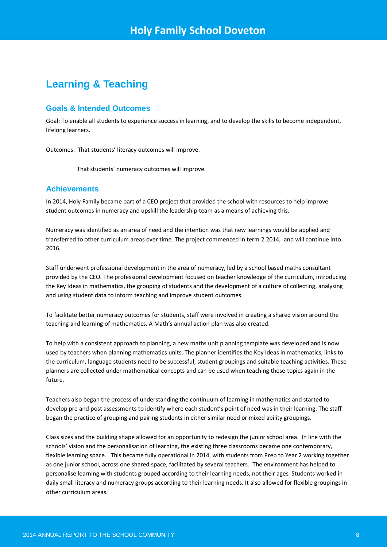## **Learning & Teaching**

## **Goals & Intended Outcomes**

Goal: To enable all students to experience success in learning, and to develop the skills to become independent, lifelong learners.

Outcomes: That students' literacy outcomes will improve.

That students' numeracy outcomes will improve.

## **Achievements**

In 2014, Holy Family became part of a CEO project that provided the school with resources to help improve student outcomes in numeracy and upskill the leadership team as a means of achieving this.

Numeracy was identified as an area of need and the intention was that new learnings would be applied and transferred to other curriculum areas over time. The project commenced in term 2 2014, and will continue into 2016.

Staff underwent professional development in the area of numeracy, led by a school based maths consultant provided by the CEO. The professional development focused on teacher knowledge of the curriculum, introducing the Key Ideas in mathematics, the grouping of students and the development of a culture of collecting, analysing and using student data to inform teaching and improve student outcomes.

To facilitate better numeracy outcomes for students, staff were involved in creating a shared vision around the teaching and learning of mathematics. A Math's annual action plan was also created.

To help with a consistent approach to planning, a new maths unit planning template was developed and is now used by teachers when planning mathematics units. The planner identifies the Key Ideas in mathematics, links to the curriculum, language students need to be successful, student groupings and suitable teaching activities. These planners are collected under mathematical concepts and can be used when teaching these topics again in the future.

Teachers also began the process of understanding the continuum of learning in mathematics and started to develop pre and post assessments to identify where each student's point of need was in their learning. The staff began the practice of grouping and pairing students in either similar need or mixed ability groupings.

Class sizes and the building shape allowed for an opportunity to redesign the junior school area. In line with the schools' vision and the personalisation of learning, the existing three classrooms became one contemporary, flexible learning space. This became fully operational in 2014, with students from Prep to Year 2 working together as one junior school, across one shared space, facilitated by several teachers. The environment has helped to personalise learning with students grouped according to their learning needs, not their ages. Students worked in daily small literacy and numeracy groups according to their learning needs. It also allowed for flexible groupings in other curriculum areas.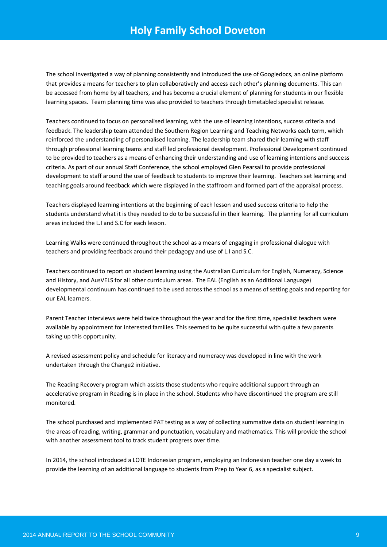The school investigated a way of planning consistently and introduced the use of Googledocs, an online platform that provides a means for teachers to plan collaboratively and access each other's planning documents. This can be accessed from home by all teachers, and has become a crucial element of planning for students in our flexible learning spaces. Team planning time was also provided to teachers through timetabled specialist release.

Teachers continued to focus on personalised learning, with the use of learning intentions, success criteria and feedback. The leadership team attended the Southern Region Learning and Teaching Networks each term, which reinforced the understanding of personalised learning. The leadership team shared their learning with staff through professional learning teams and staff led professional development. Professional Development continued to be provided to teachers as a means of enhancing their understanding and use of learning intentions and success criteria. As part of our annual Staff Conference, the school employed Glen Pearsall to provide professional development to staff around the use of feedback to students to improve their learning. Teachers set learning and teaching goals around feedback which were displayed in the staffroom and formed part of the appraisal process.

Teachers displayed learning intentions at the beginning of each lesson and used success criteria to help the students understand what it is they needed to do to be successful in their learning. The planning for all curriculum areas included the L.I and S.C for each lesson.

Learning Walks were continued throughout the school as a means of engaging in professional dialogue with teachers and providing feedback around their pedagogy and use of L.I and S.C.

Teachers continued to report on student learning using the Australian Curriculum for English, Numeracy, Science and History, and AusVELS for all other curriculum areas. The EAL (English as an Additional Language) developmental continuum has continued to be used across the school as a means of setting goals and reporting for our EAL learners.

Parent Teacher interviews were held twice throughout the year and for the first time, specialist teachers were available by appointment for interested families. This seemed to be quite successful with quite a few parents taking up this opportunity.

A revised assessment policy and schedule for literacy and numeracy was developed in line with the work undertaken through the Change2 initiative.

The Reading Recovery program which assists those students who require additional support through an accelerative program in Reading is in place in the school. Students who have discontinued the program are still monitored.

The school purchased and implemented PAT testing as a way of collecting summative data on student learning in the areas of reading, writing, grammar and punctuation, vocabulary and mathematics. This will provide the school with another assessment tool to track student progress over time.

In 2014, the school introduced a LOTE Indonesian program, employing an Indonesian teacher one day a week to provide the learning of an additional language to students from Prep to Year 6, as a specialist subject.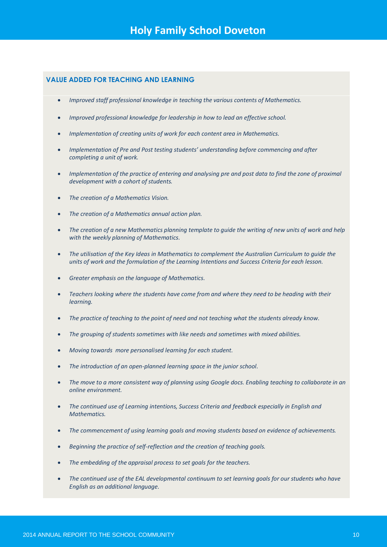## **VALUE ADDED FOR TEACHING AND LEARNING**

- *Improved staff professional knowledge in teaching the various contents of Mathematics.*
- *Improved professional knowledge for leadership in how to lead an effective school.*
- *Implementation of creating units of work for each content area in Mathematics.*
- *Implementation of Pre and Post testing students' understanding before commencing and after completing a unit of work.*
- *Implementation of the practice of entering and analysing pre and post data to find the zone of proximal development with a cohort of students.*
- *The creation of a Mathematics Vision.*
- *The creation of a Mathematics annual action plan.*
- *The creation of a new Mathematics planning template to guide the writing of new units of work and help with the weekly planning of Mathematics.*
- *The utilisation of the Key Ideas in Mathematics to complement the Australian Curriculum to guide the units of work and the formulation of the Learning Intentions and Success Criteria for each lesson.*
- *Greater emphasis on the language of Mathematics.*
- *Teachers looking where the students have come from and where they need to be heading with their learning.*
- *The practice of teaching to the point of need and not teaching what the students already know.*
- *The grouping of students sometimes with like needs and sometimes with mixed abilities.*
- *Moving towards more personalised learning for each student.*
- *The introduction of an open-planned learning space in the junior school.*
- *The move to a more consistent way of planning using Google docs. Enabling teaching to collaborate in an online environment.*
- *The continued use of Learning intentions, Success Criteria and feedback especially in English and Mathematics.*
- *The commencement of using learning goals and moving students based on evidence of achievements.*
- *Beginning the practice of self-reflection and the creation of teaching goals.*
- *The embedding of the appraisal process to set goals for the teachers.*
- *The continued use of the EAL developmental continuum to set learning goals for our students who have English as an additional language.*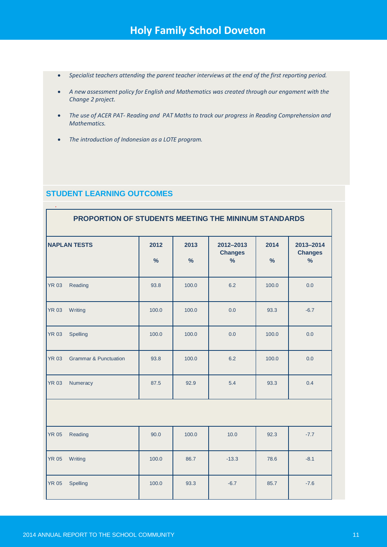- *Specialist teachers attending the parent teacher interviews at the end of the first reporting period.*
- *A new assessment policy for English and Mathematics was created through our engament with the Change 2 project.*
- *The use of ACER PAT- Reading and PAT Maths to track our progress in Reading Comprehension and Mathematics.*
- *The introduction of Indonesian as a LOTE program.*

## **STUDENT LEARNING OUTCOMES**

| PROPORTION OF STUDENTS MEETING THE MININUM STANDARDS |                                  |                       |           |                                              |                       |                                              |
|------------------------------------------------------|----------------------------------|-----------------------|-----------|----------------------------------------------|-----------------------|----------------------------------------------|
|                                                      | <b>NAPLAN TESTS</b>              | 2012<br>$\frac{9}{6}$ | 2013<br>% | 2012-2013<br><b>Changes</b><br>$\frac{9}{6}$ | 2014<br>$\frac{9}{6}$ | 2013-2014<br><b>Changes</b><br>$\frac{9}{6}$ |
| <b>YR 03</b>                                         | Reading                          | 93.8                  | 100.0     | 6.2                                          | 100.0                 | 0.0                                          |
| <b>YR 03</b>                                         | Writing                          | 100.0                 | 100.0     | 0.0                                          | 93.3                  | $-6.7$                                       |
| <b>YR 03</b>                                         | Spelling                         | 100.0                 | 100.0     | 0.0                                          | 100.0                 | 0.0                                          |
| <b>YR 03</b>                                         | <b>Grammar &amp; Punctuation</b> | 93.8                  | 100.0     | 6.2                                          | 100.0                 | 0.0                                          |
| <b>YR 03</b>                                         | Numeracy                         | 87.5                  | 92.9      | 5.4                                          | 93.3                  | 0.4                                          |
|                                                      |                                  |                       |           |                                              |                       |                                              |
| <b>YR 05</b>                                         | Reading                          | 90.0                  | 100.0     | 10.0                                         | 92.3                  | $-7.7$                                       |
| <b>YR 05</b>                                         | Writing                          | 100.0                 | 86.7      | $-13.3$                                      | 78.6                  | $-8.1$                                       |
| <b>YR 05</b>                                         | Spelling                         | 100.0                 | 93.3      | $-6.7$                                       | 85.7                  | $-7.6$                                       |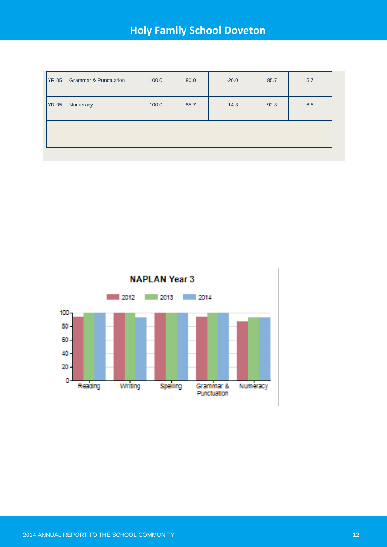| <b>YR 05</b><br>85.7<br>$-14.3$<br>6.6<br>Numeracy<br>92.3<br>100.0 | <b>YR 05</b> | <b>Grammar &amp; Punctuation</b> | 100.0 | 80.0 | $-20.0$ | 85.7 | 5.7 |
|---------------------------------------------------------------------|--------------|----------------------------------|-------|------|---------|------|-----|
|                                                                     |              |                                  |       |      |         |      |     |
|                                                                     |              |                                  |       |      |         |      |     |

**NAPLAN Year 3** 

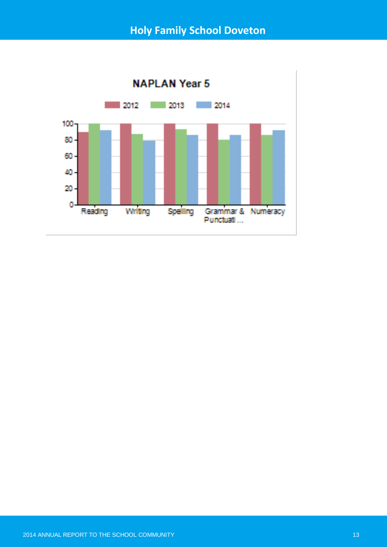

**NAPLAN Year 5**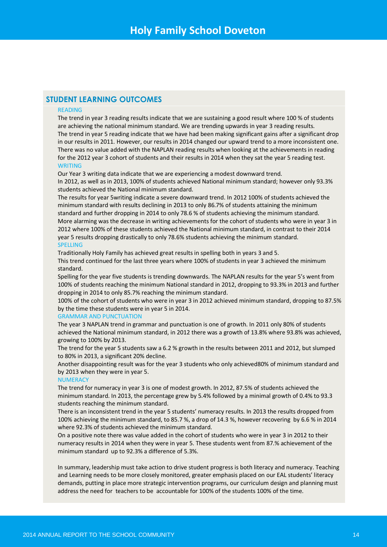## **STUDENT LEARNING OUTCOMES**

#### READING

The trend in year 3 reading results indicate that we are sustaining a good result where 100 % of students are achieving the national minimum standard. We are trending upwards in year 3 reading results. The trend in year 5 reading indicate that we have had been making significant gains after a significant drop in our results in 2011. However, our results in 2014 changed our upward trend to a more inconsistent one. There was no value added with the NAPLAN reading results when looking at the achievements in reading for the 2012 year 3 cohort of students and their results in 2014 when they sat the year 5 reading test. WRITING

Our Year 3 writing data indicate that we are experiencing a modest downward trend.

In 2012, as well as in 2013, 100% of students achieved National minimum standard; however only 93.3% students achieved the National minimum standard.

The results for year 5writing indicate a severe downward trend. In 2012 100% of students achieved the minimum standard with results declining in 2013 to only 86.7% of students attaining the minimum standard and further dropping in 2014 to only 78.6 % of students achieving the minimum standard. More alarming was the decrease in writing achievements for the cohort of students who were in year 3 in 2012 where 100% of these students achieved the National minimum standard, in contrast to their 2014 year 5 results dropping drastically to only 78.6% students achieving the minimum standard. SPELLING

Traditionally Holy Family has achieved great results in spelling both in years 3 and 5. This trend continued for the last three years where 100% of students in year 3 achieved the minimum standard.

Spelling for the year five students is trending downwards. The NAPLAN results for the year 5's went from 100% of students reaching the minimum National standard in 2012, dropping to 93.3% in 2013 and further dropping in 2014 to only 85.7% reaching the minimum standard.

100% of the cohort of students who were in year 3 in 2012 achieved minimum standard, dropping to 87.5% by the time these students were in year 5 in 2014.

#### GRAMMAR AND PUNCTUATION

The year 3 NAPLAN trend in grammar and punctuation is one of growth. In 2011 only 80% of students achieved the National minimum standard, in 2012 there was a growth of 13.8% where 93.8% was achieved, growing to 100% by 2013.

The trend for the year 5 students saw a 6.2 % growth in the results between 2011 and 2012, but slumped to 80% in 2013, a significant 20% decline.

Another disappointing result was for the year 3 students who only achieved80% of minimum standard and by 2013 when they were in year 5.

#### **NUMERACY**

The trend for numeracy in year 3 is one of modest growth. In 2012, 87.5% of students achieved the minimum standard. In 2013, the percentage grew by 5.4% followed by a minimal growth of 0.4% to 93.3 students reaching the minimum standard.

There is an inconsistent trend in the year 5 students' numeracy results. In 2013 the results dropped from 100% achieving the minimum standard, to 85.7 %, a drop of 14.3 %, however recovering by 6.6 % in 2014 where 92.3% of students achieved the minimum standard.

On a positive note there was value added in the cohort of students who were in year 3 in 2012 to their numeracy results in 2014 when they were in year 5. These students went from 87.% achievement of the minimum standard up to 92.3% a difference of 5.3%.

In summary, leadership must take action to drive student progress is both literacy and numeracy. Teaching and Learning needs to be more closely monitored, greater emphasis placed on our EAL students' literacy demands, putting in place more strategic intervention programs, our curriculum design and planning must address the need for teachers to be accountable for 100% of the students 100% of the time.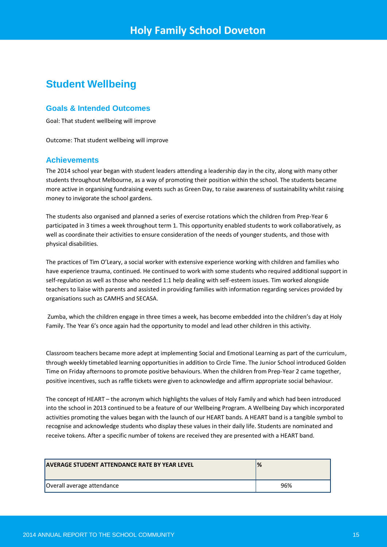## **Student Wellbeing**

## **Goals & Intended Outcomes**

Goal: That student wellbeing will improve

Outcome: That student wellbeing will improve

## **Achievements**

The 2014 school year began with student leaders attending a leadership day in the city, along with many other students throughout Melbourne, as a way of promoting their position within the school. The students became more active in organising fundraising events such as Green Day, to raise awareness of sustainability whilst raising money to invigorate the school gardens.

The students also organised and planned a series of exercise rotations which the children from Prep-Year 6 participated in 3 times a week throughout term 1. This opportunity enabled students to work collaboratively, as well as coordinate their activities to ensure consideration of the needs of younger students, and those with physical disabilities.

The practices of Tim O'Leary, a social worker with extensive experience working with children and families who have experience trauma, continued. He continued to work with some students who required additional support in self-regulation as well as those who needed 1:1 help dealing with self-esteem issues. Tim worked alongside teachers to liaise with parents and assisted in providing families with information regarding services provided by organisations such as CAMHS and SECASA.

Zumba, which the children engage in three times a week, has become embedded into the children's day at Holy Family. The Year 6's once again had the opportunity to model and lead other children in this activity.

Classroom teachers became more adept at implementing Social and Emotional Learning as part of the curriculum, through weekly timetabled learning opportunities in addition to Circle Time. The Junior School introduced Golden Time on Friday afternoons to promote positive behaviours. When the children from Prep-Year 2 came together, positive incentives, such as raffle tickets were given to acknowledge and affirm appropriate social behaviour.

The concept of HEART – the acronym which highlights the values of Holy Family and which had been introduced into the school in 2013 continued to be a feature of our Wellbeing Program. A Wellbeing Day which incorporated activities promoting the values began with the launch of our HEART bands. A HEART band is a tangible symbol to recognise and acknowledge students who display these values in their daily life. Students are nominated and receive tokens. After a specific number of tokens are received they are presented with a HEART band.

| <b>AVERAGE STUDENT ATTENDANCE RATE BY YEAR LEVEL</b> | %   |
|------------------------------------------------------|-----|
| Overall average attendance                           | 96% |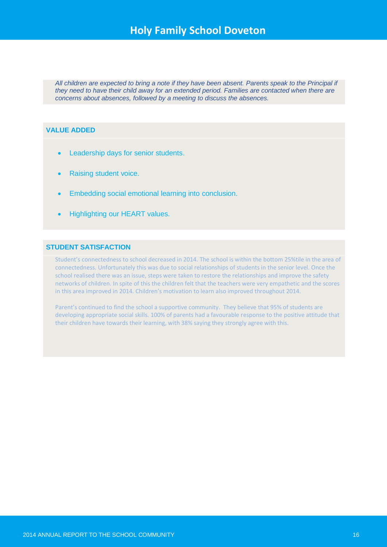*All children are expected to bring a note if they have been absent. Parents speak to the Principal if they need to have their child away for an extended period. Families are contacted when there are concerns about absences, followed by a meeting to discuss the absences.*

## **VALUE ADDED**

- **•** Leadership days for senior students.
- Raising student voice.
- Embedding social emotional learning into conclusion.
- Highlighting our HEART values.

## **STUDENT SATISFACTION**

Student's connectedness to school decreased in 2014. The school is within the bottom 25%tile in the area of connectedness. Unfortunately this was due to social relationships of students in the senior level. Once the school realised there was an issue, steps were taken to restore the relationships and improve the safety networks of children. In spite of this the children felt that the teachers were very empathetic and the scores in this area improved in 2014. Children's motivation to learn also improved throughout 2014.

Parent's continued to find the school a supportive community. They believe that 95% of students are developing appropriate social skills. 100% of parents had a favourable response to the positive attitude that their children have towards their learning, with 38% saying they strongly agree with this.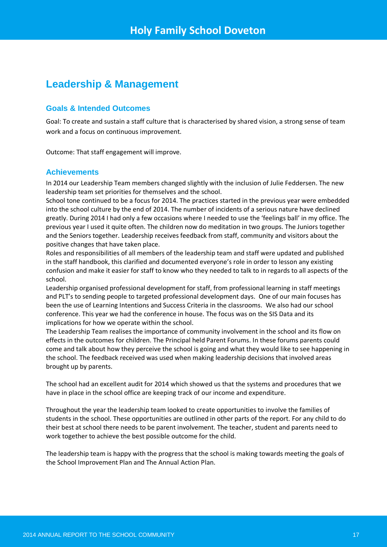## **Leadership & Management**

## **Goals & Intended Outcomes**

Goal: To create and sustain a staff culture that is characterised by shared vision, a strong sense of team work and a focus on continuous improvement.

Outcome: That staff engagement will improve.

## **Achievements**

In 2014 our Leadership Team members changed slightly with the inclusion of Julie Feddersen. The new leadership team set priorities for themselves and the school.

School tone continued to be a focus for 2014. The practices started in the previous year were embedded into the school culture by the end of 2014. The number of incidents of a serious nature have declined greatly. During 2014 I had only a few occasions where I needed to use the 'feelings ball' in my office. The previous year I used it quite often. The children now do meditation in two groups. The Juniors together and the Seniors together. Leadership receives feedback from staff, community and visitors about the positive changes that have taken place.

Roles and responsibilities of all members of the leadership team and staff were updated and published in the staff handbook, this clarified and documented everyone's role in order to lesson any existing confusion and make it easier for staff to know who they needed to talk to in regards to all aspects of the school.

Leadership organised professional development for staff, from professional learning in staff meetings and PLT's to sending people to targeted professional development days. One of our main focuses has been the use of Learning Intentions and Success Criteria in the classrooms. We also had our school conference. This year we had the conference in house. The focus was on the SIS Data and its implications for how we operate within the school.

The Leadership Team realises the importance of community involvement in the school and its flow on effects in the outcomes for children. The Principal held Parent Forums. In these forums parents could come and talk about how they perceive the school is going and what they would like to see happening in the school. The feedback received was used when making leadership decisions that involved areas brought up by parents.

The school had an excellent audit for 2014 which showed us that the systems and procedures that we have in place in the school office are keeping track of our income and expenditure.

Throughout the year the leadership team looked to create opportunities to involve the families of students in the school. These opportunities are outlined in other parts of the report. For any child to do their best at school there needs to be parent involvement. The teacher, student and parents need to work together to achieve the best possible outcome for the child.

The leadership team is happy with the progress that the school is making towards meeting the goals of the School Improvement Plan and The Annual Action Plan.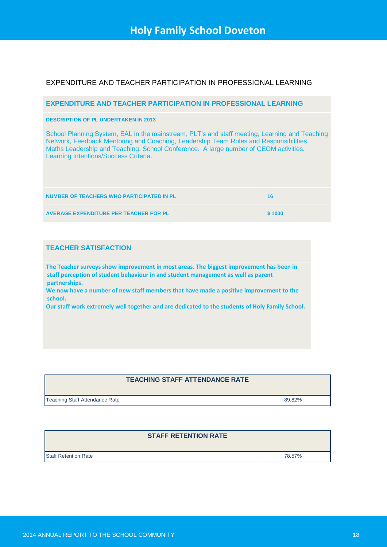## EXPENDITURE AND TEACHER PARTICIPATION IN PROFESSIONAL LEARNING

#### **EXPENDITURE AND TEACHER PARTICIPATION IN PROFESSIONAL LEARNING**

#### **DESCRIPTION OF PL UNDERTAKEN IN 2013**

School Planning System, EAL in the mainstream, PLT's and staff meeting, Learning and Teaching Network, Feedback Mentoring and Coaching, Leadership Team Roles and Responsibilities. Maths Leadership and Teaching. School Conference. A large number of CEOM activities. Learning Intentions/Success Criteria.

| NUMBER OF TEACHERS WHO PARTICIPATED IN PL     | 16 <sup>1</sup> |
|-----------------------------------------------|-----------------|
| <b>AVERAGE EXPENDITURE PER TEACHER FOR PL</b> | \$1000          |

## **TEACHER SATISFACTION**

**The Teacher surveys show improvement in most areas. The biggest improvement has been in staff perception of student behaviour in and student management as well as parent partnerships.**

**We now have a number of new staff members that have made a positive improvement to the school.** 

**Our staff work extremely well together and are dedicated to the students of Holy Family School.**

## **TEACHING STAFF ATTENDANCE RATE**

Teaching Staff Attendance Rate 89.82%

| <b>Staff Retention Rate</b> | 78.57% |
|-----------------------------|--------|

**STAFF RETENTION RATE**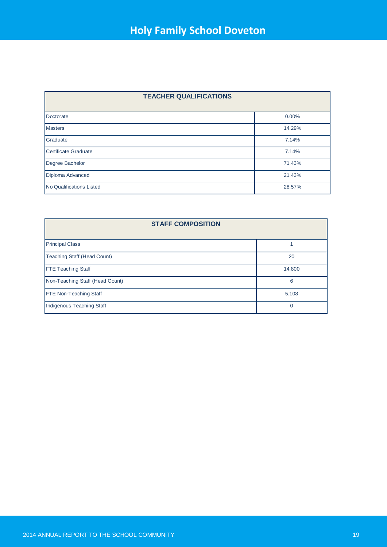| <b>TEACHER QUALIFICATIONS</b>   |        |  |
|---------------------------------|--------|--|
| Doctorate                       | 0.00%  |  |
| <b>Masters</b>                  | 14.29% |  |
| Graduate                        | 7.14%  |  |
| Certificate Graduate            | 7.14%  |  |
| Degree Bachelor                 | 71.43% |  |
| Diploma Advanced                | 21.43% |  |
| <b>No Qualifications Listed</b> | 28.57% |  |

| <b>STAFF COMPOSITION</b>        |        |  |
|---------------------------------|--------|--|
| <b>Principal Class</b>          |        |  |
| Teaching Staff (Head Count)     | 20     |  |
| <b>FTE Teaching Staff</b>       | 14.800 |  |
| Non-Teaching Staff (Head Count) | 6      |  |
| <b>FTE Non-Teaching Staff</b>   | 5.108  |  |
| Indigenous Teaching Staff       | 0      |  |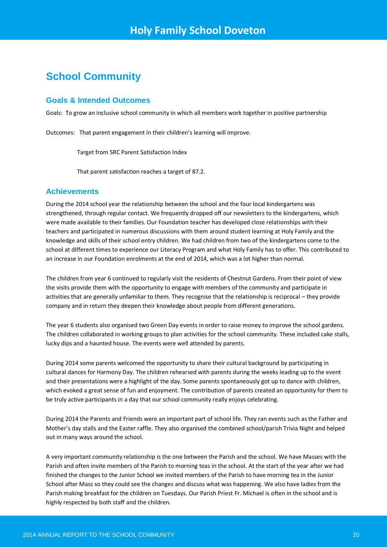## **School Community**

## **Goals & Intended Outcomes**

Goals: To grow an inclusive school community in which all members work together in positive partnership

Outcomes: That parent engagement in their children's learning will improve.

Target from SRC Parent Satisfaction Index

That parent satisfaction reaches a target of 87.2.

## **Achievements**

During the 2014 school year the relationship between the school and the four local kindergartens was strengthened, through regular contact. We frequently dropped off our newsletters to the kindergartens, which were made available to their families. Our Foundation teacher has developed close relationships with their teachers and participated in numerous discussions with them around student learning at Holy Family and the knowledge and skills of their school entry children. We had children from two of the kindergartens come to the school at different times to experience our Literacy Program and what Holy Family has to offer. This contributed to an increase in our Foundation enrolments at the end of 2014, which was a lot higher than normal.

The children from year 6 continued to regularly visit the residents of Chestnut Gardens. From their point of view the visits provide them with the opportunity to engage with members of the community and participate in activities that are generally unfamiliar to them. They recognise that the relationship is reciprocal – they provide company and in return they deepen their knowledge about people from different generations.

The year 6 students also organised two Green Day events in order to raise money to improve the school gardens. The children collaborated in working groups to plan activities for the school community. These included cake stalls, lucky dips and a haunted house. The events were well attended by parents.

During 2014 some parents welcomed the opportunity to share their cultural background by participating in cultural dances for Harmony Day. The children rehearsed with parents during the weeks leading up to the event and their presentations were a highlight of the day. Some parents spontaneously got up to dance with children, which evoked a great sense of fun and enjoyment. The contribution of parents created an opportunity for them to be truly active participants in a day that our school community really enjoys celebrating.

During 2014 the Parents and Friends were an important part of school life. They ran events such as the Father and Mother's day stalls and the Easter raffle. They also organised the combined school/parish Trivia Night and helped out in many ways around the school.

A very important community relationship is the one between the Parish and the school. We have Masses with the Parish and often invite members of the Parish to morning teas in the school. At the start of the year after we had finished the changes to the Junior School we invited members of the Parish to have morning tea in the Junior School after Mass so they could see the changes and discuss what was happening. We also have ladies from the Parish making breakfast for the children on Tuesdays. Our Parish Priest Fr. Michael is often in the school and is highly respected by both staff and the children.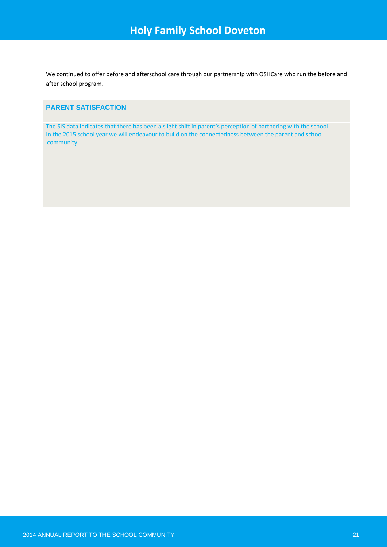We continued to offer before and afterschool care through our partnership with OSHCare who run the before and after school program.

## **PARENT SATISFACTION**

The SIS data indicates that there has been a slight shift in parent's perception of partnering with the school. In the 2015 school year we will endeavour to build on the connectedness between the parent and school community.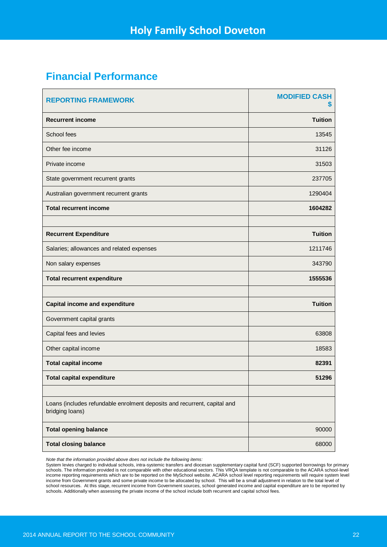## **Financial Performance**

| <b>REPORTING FRAMEWORK</b>                                                                  | <b>MODIFIED CASH</b><br>5 |
|---------------------------------------------------------------------------------------------|---------------------------|
| <b>Recurrent income</b>                                                                     | <b>Tuition</b>            |
| School fees                                                                                 | 13545                     |
| Other fee income                                                                            | 31126                     |
| Private income                                                                              | 31503                     |
| State government recurrent grants                                                           | 237705                    |
| Australian government recurrent grants                                                      | 1290404                   |
| <b>Total recurrent income</b>                                                               | 1604282                   |
|                                                                                             |                           |
| <b>Recurrent Expenditure</b>                                                                | <b>Tuition</b>            |
| Salaries; allowances and related expenses                                                   | 1211746                   |
| Non salary expenses                                                                         | 343790                    |
| <b>Total recurrent expenditure</b>                                                          | 1555536                   |
|                                                                                             |                           |
| <b>Capital income and expenditure</b>                                                       | <b>Tuition</b>            |
| Government capital grants                                                                   |                           |
| Capital fees and levies                                                                     | 63808                     |
| Other capital income                                                                        | 18583                     |
| <b>Total capital income</b>                                                                 | 82391                     |
| <b>Total capital expenditure</b>                                                            | 51296                     |
|                                                                                             |                           |
| Loans (includes refundable enrolment deposits and recurrent, capital and<br>bridging loans) |                           |
| <b>Total opening balance</b>                                                                | 90000                     |
| <b>Total closing balance</b>                                                                | 68000                     |

*Note that the information provided above does not include the following items:* 

System levies charged to individual schools, intra-systemic transfers and diocesan supplementary capital fund (SCF) supported borrowings for primary schools. The information provided is not comparable with other educational sectors. This VRQA template is not comparable to the ACARA school-level<br>income reporting requirements which are to be reported on the MySchool webs income from Government grants and some private income to be allocated by school. This will be a small adjustment in relation to the total level of school resources. At this stage, recurrent income from Government sources, school generated income and capital expenditure are to be reported by schools. Additionally when assessing the private income of the school include both recurrent and capital school fees.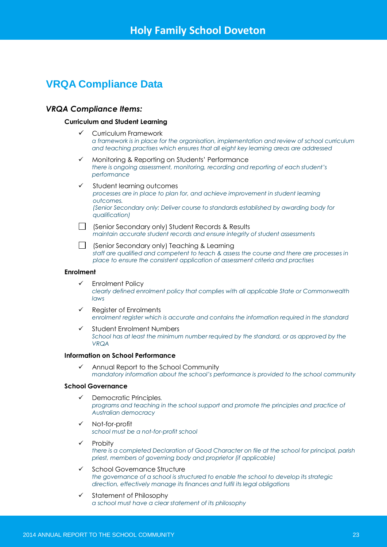## **VRQA Compliance Data**

## *VRQA Compliance Items:*

#### **Curriculum and Student Learning**

- Curriculum Framework *a framework is in place for the organisation, implementation and review of school curriculum and teaching practises which ensures that all eight key learning areas are addressed*
- Monitoring & Reporting on Students' Performance *there is ongoing assessment, monitoring, recording and reporting of each student's performance*
- $\checkmark$  Student learning outcomes *processes are in place to plan for, and achieve improvement in student learning outcomes. (Senior Secondary only: Deliver course to standards established by awarding body for qualification)*
- Senior Secondary only) Student Records & Results *maintain accurate student records and ensure integrity of student assessments*
- (Senior Secondary only) Teaching & Learning *staff are qualified and competent to teach & assess the course and there are processes in place to ensure the consistent application of assessment criteria and practises*

#### **Enrolment**

- $\checkmark$  Enrolment Policy *clearly defined enrolment policy that complies with all applicable State or Commonwealth laws*
- $\checkmark$  Register of Enrolments *enrolment register which is accurate and contains the information required in the standard*
- $\checkmark$  Student Enrolment Numbers *School has at least the minimum number required by the standard, or as approved by the VRQA*

#### **Information on School Performance**

 $\checkmark$  Annual Report to the School Community *mandatory information about the school's performance is provided to the school community*

#### **School Governance**

- Democratic Principles*. programs and teaching in the school support and promote the principles and practice of Australian democracy*
- Not-for-profit *school must be a not-for-profit school*
- Probity *there is a completed Declaration of Good Character on file at the school for principal, parish priest, members of governing body and proprietor (if applicable)*
- $\checkmark$  School Governance Structure *the governance of a school is structured to enable the school to develop its strategic direction, effectively manage its finances and fulfil its legal obligations*
- $\checkmark$  Statement of Philosophy *a school must have a clear statement of its philosophy*